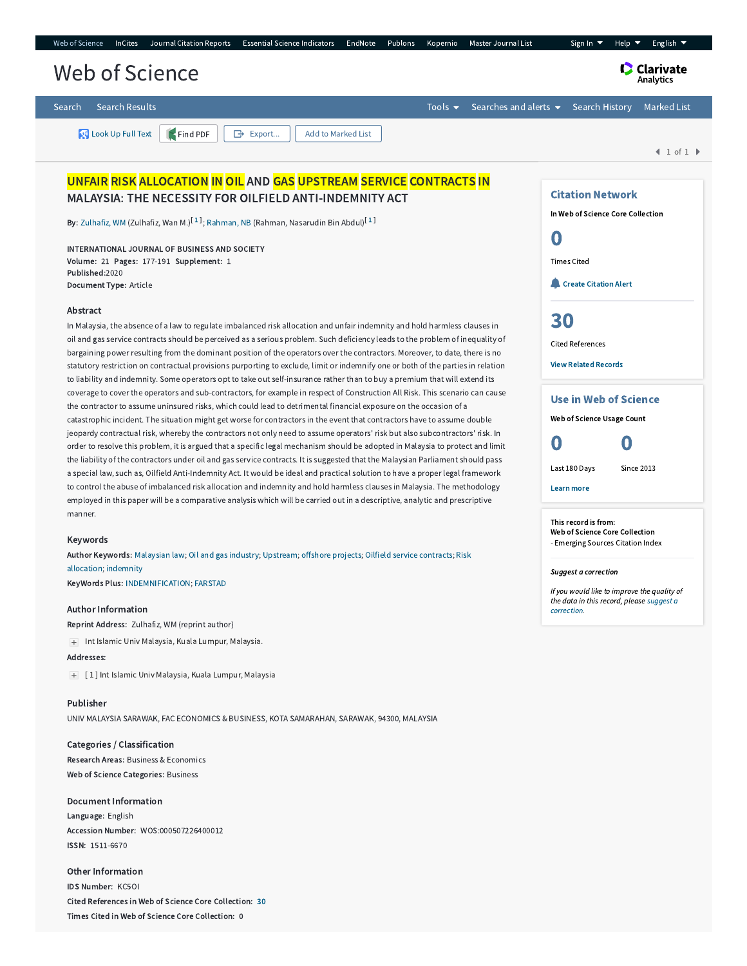

## Author Information

Reprint Address: Zulhafiz, WM (reprint author)

Int Islamic Univ Malaysia, Kuala Lumpur, Malaysia.

## Addresses:

[ 1 ] Int Islamic Univ Malaysia, Kuala Lumpur, Malaysia

Publisher UNIV MALAYSIA SARAWAK, FAC ECONOMICS & BUSINESS, KOTA SAMARAHAN, SARAWAK, 94300, MALAYSIA

Categories / Classification Research Areas: Business & Economics Web of Science Categories: Business

Document Information Language: English Accession Number: WOS:000507226400012 ISSN: 1511-6670

Other Information IDS Number: KC5OI Cited References in Web of Science Core Collection: [30](http://apps.webofknowledge.com.ezproxy.um.edu.my/CitedRefList.do?product=WOS&search_mode=CitedRefList&SID=C6g79dCg1AFANrlVoiv&colName=WOS&parentProduct=WOS&parentQid=32&parentDoc=1&recid=WOS:000507226400012&UT=WOS:000507226400012) Times Cited in Web of Science Core Collection: 0

If you would like to improve the quality of the data in this record, please suggest a **correction**